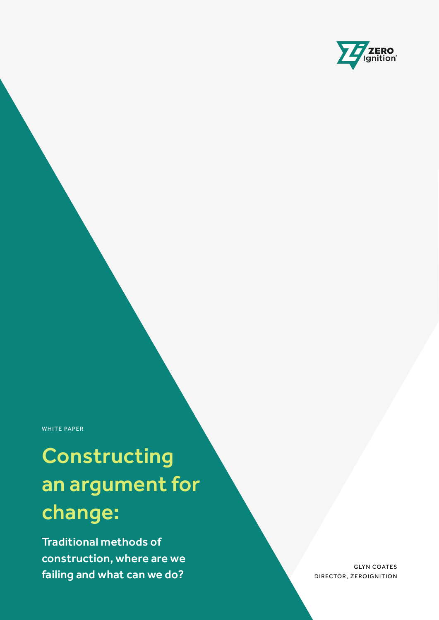

WHITE PAPER

# Constructing an argument for change:

failing and what can we do? **Example 2018** Subsection, ZEROIGNITION Traditional methods of construction, where are we

**GLYN COATES**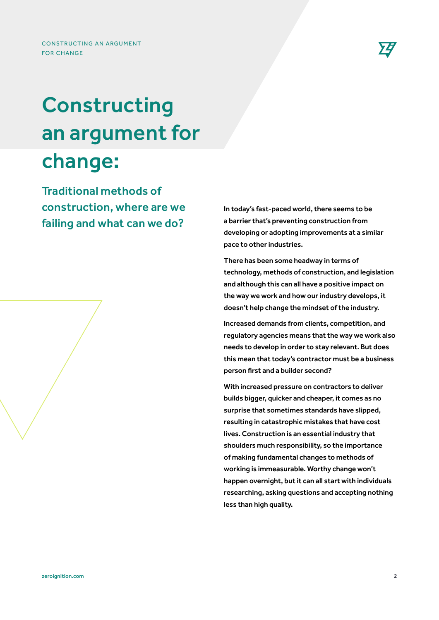

### Constructing an argument for change:

Traditional methods of construction, where are we failing and what can we do?

In today's fast-paced world, there seems to be a barrier that's preventing construction from developing or adopting improvements at a similar pace to other industries.

There has been some headway in terms of technology, methods of construction, and legislation and although this can all have a positive impact on the way we work and how our industry develops, it doesn't help change the mindset of the industry.

Increased demands from clients, competition, and regulatory agencies means that the way we work also needs to develop in order to stay relevant. But does this mean that today's contractor must be a business person first and a builder second?

With increased pressure on contractors to deliver builds bigger, quicker and cheaper, it comes as no surprise that sometimes standards have slipped, resulting in catastrophic mistakes that have cost lives. Construction is an essential industry that shoulders much responsibility, so the importance of making fundamental changes to methods of working is immeasurable. Worthy change won't happen overnight, but it can all start with individuals researching, asking questions and accepting nothing less than high quality.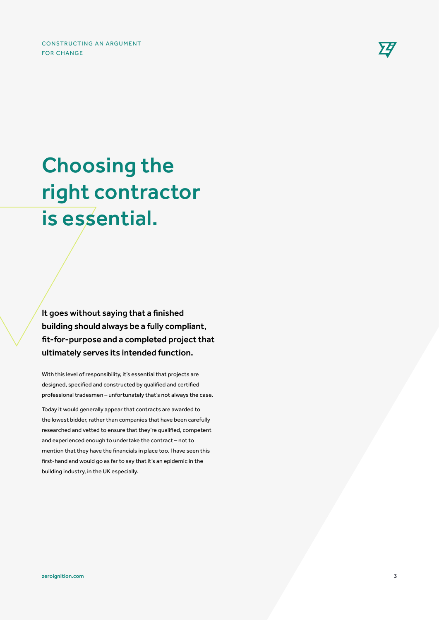

## Choosing the right contractor is essential.

It goes without saying that a finished building should always be a fully compliant, fit-for-purpose and a completed project that ultimately serves its intended function.

With this level of responsibility, it's essential that projects are designed, specified and constructed by qualified and certified professional tradesmen – unfortunately that's not always the case.

Today it would generally appear that contracts are awarded to the lowest bidder, rather than companies that have been carefully researched and vetted to ensure that they're qualified, competent and experienced enough to undertake the contract – not to mention that they have the financials in place too. I have seen this first-hand and would go as far to say that it's an epidemic in the building industry, in the UK especially.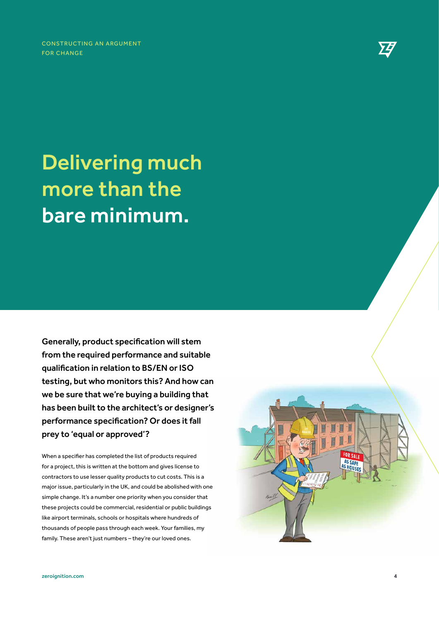CONSTRUCTING AN ARGUMENT FOR CHANGE



### Delivering much more than the bare minimum.

Generally, product specification will stem from the required performance and suitable qualification in relation to BS/EN or ISO testing, but who monitors this? And how can we be sure that we're buying a building that has been built to the architect's or designer's performance specification? Or does it fall prey to 'equal or approved'?

When a specifier has completed the list of products required for a project, this is written at the bottom and gives license to contractors to use lesser quality products to cut costs. This is a major issue, particularly in the UK, and could be abolished with one simple change. It's a number one priority when you consider that these projects could be commercial, residential or public buildings like airport terminals, schools or hospitals where hundreds of thousands of people pass through each week. Your families, my family. These aren't just numbers – they're our loved ones.

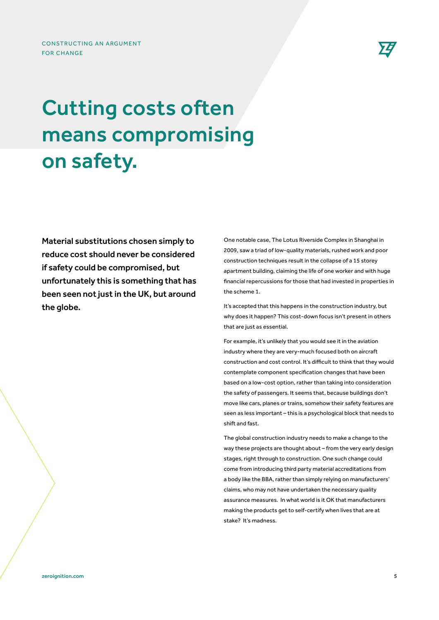

### Cutting costs often means compromising on safety.

Material substitutions chosen simply to reduce cost should never be considered if safety could be compromised, but unfortunately this is something that has been seen not just in the UK, but around the globe.

One notable case, The Lotus Riverside Complex in Shanghai in 2009, saw a triad of low-quality materials, rushed work and poor construction techniques result in the collapse of a 15 storey apartment building, claiming the life of one worker and with huge financial repercussions for those that had invested in properties in the scheme 1.

It's accepted that this happens in the construction industry, but why does it happen? This cost-down focus isn't present in others that are just as essential.

For example, it's unlikely that you would see it in the aviation industry where they are very-much focused both on aircraft construction and cost control. It's difficult to think that they would contemplate component specification changes that have been based on a low-cost option, rather than taking into consideration the safety of passengers. It seems that, because buildings don't move like cars, planes or trains, somehow their safety features are seen as less important – this is a psychological block that needs to shift and fast.

The global construction industry needs to make a change to the way these projects are thought about – from the very early design stages, right through to construction. One such change could come from introducing third party material accreditations from a body like the BBA, rather than simply relying on manufacturers' claims, who may not have undertaken the necessary quality assurance measures. In what world is it OK that manufacturers making the products get to self-certify when lives that are at stake? It's madness.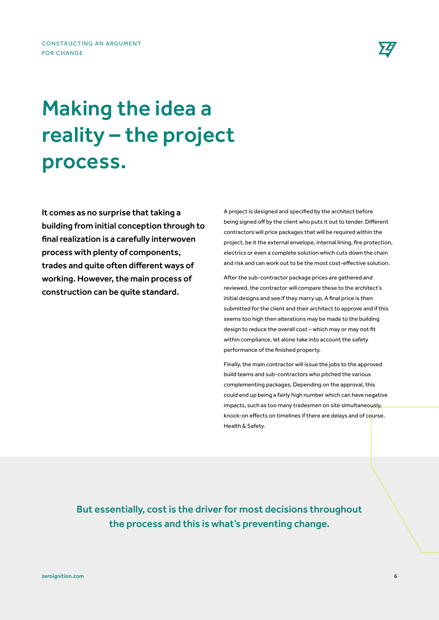

## Making the idea a reality – the project process.

It comes as no surprise that taking a building from initial conception through to final realization is a carefully interwoven process with plenty of components, trades and quite often different ways of working. However, the main process of construction can be quite standard.

A project is designed and specified by the architect before being signed off by the client who puts it out to tender. Different contractors will price packages that will be required within the project, be it the external envelope, internal lining, fire protection, electrics or even a complete solution which cuts down the chain and risk and can work out to be the most cost-effective solution.

After the sub-contractor package prices are gathered and reviewed, the contractor will compare these to the architect's initial designs and see if they marry up. A final price is then submitted for the client and their architect to approve and if this seems too high then alterations may be made to the building design to reduce the overall cost – which may or may not fit within compliance, let alone take into account the safety performance of the finished property.

Finally, the main contractor will issue the jobs to the approved build teams and sub-contractors who pitched the various complementing packages. Depending on the approval, this could end up being a fairly high number which can have negative impacts, such as too many tradesmen on site simultaneously, knock-on effects on timelines if there are delays and of course, Health & Safety.

But essentially, cost is the driver for most decisions throughout the process and this is what's preventing change.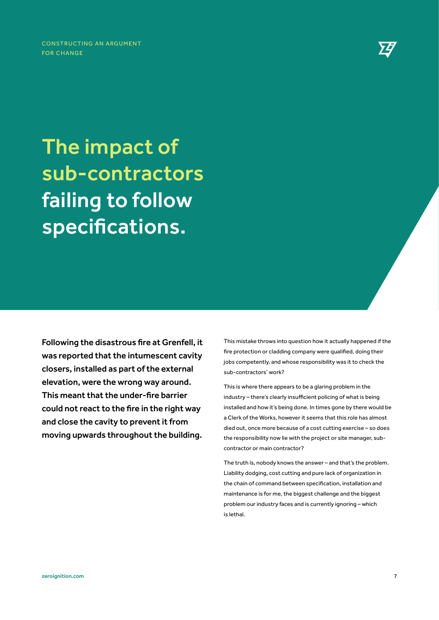CONSTRUCTING AN ARGUMENT FOR CHANGE



## The impact of sub-contractors failing to follow specifications.

Following the disastrous fire at Grenfell, it was reported that the intumescent cavity closers, installed as part of the external elevation, were the wrong way around. This meant that the under-fire barrier could not react to the fire in the right way and close the cavity to prevent it from moving upwards throughout the building.

This mistake throws into question how it actually happened if the fire protection or cladding company were qualified, doing their jobs competently, and whose responsibility was it to check the sub-contractors' work?

This is where there appears to be a glaring problem in the industry – there's clearly insufficient policing of what is being installed and how it's being done. In times gone by there would be a Clerk of the Works, however it seems that this role has almost died out, once more because of a cost cutting exercise – so does the responsibility now lie with the project or site manager, subcontractor or main contractor?

The truth is, nobody knows the answer – and that's the problem. Liability dodging, cost cutting and pure lack of organization in the chain of command between specification, installation and maintenance is for me, the biggest challenge and the biggest problem our industry faces and is currently ignoring – which is lethal.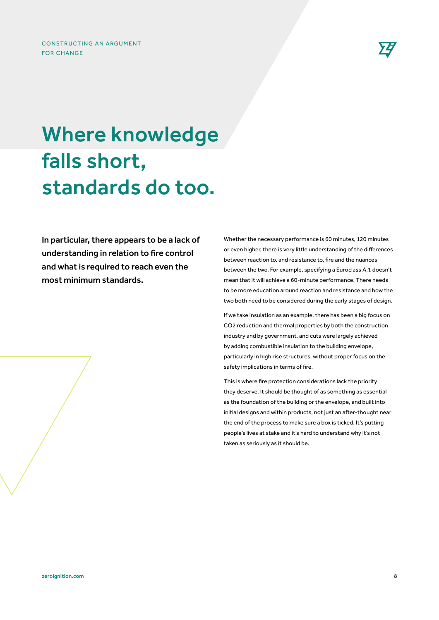

### Where knowledge falls short, standards do too.

In particular, there appears to be a lack of understanding in relation to fire control and what is required to reach even the most minimum standards.

Whether the necessary performance is 60 minutes, 120 minutes or even higher, there is very little understanding of the differences between reaction to, and resistance to, fire and the nuances between the two. For example, specifying a Euroclass A.1 doesn't mean that it will achieve a 60-minute performance. There needs to be more education around reaction and resistance and how the two both need to be considered during the early stages of design.

If we take insulation as an example, there has been a big focus on CO2 reduction and thermal properties by both the construction industry and by government, and cuts were largely achieved by adding combustible insulation to the building envelope, particularly in high rise structures, without proper focus on the safety implications in terms of fire.

This is where fire protection considerations lack the priority they deserve. It should be thought of as something as essential as the foundation of the building or the envelope, and built into initial designs and within products, not just an after-thought near the end of the process to make sure a box is ticked. It's putting people's lives at stake and it's hard to understand why it's not taken as seriously as it should be.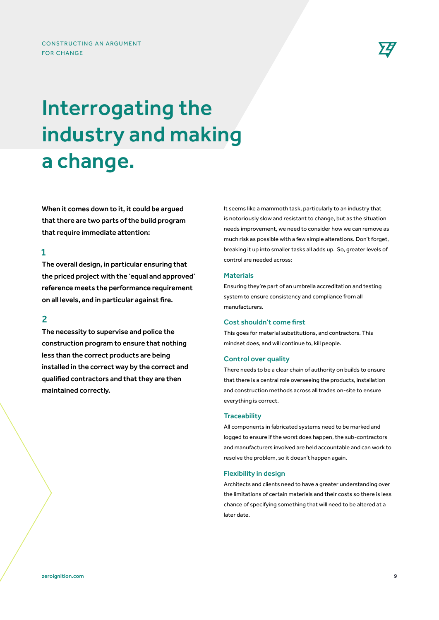

### Interrogating the industry and making a change.

When it comes down to it, it could be argued that there are two parts of the build program that require immediate attention:

### 1

The overall design, in particular ensuring that the priced project with the 'equal and approved' reference meets the performance requirement on all levels, and in particular against fire.

### 2

The necessity to supervise and police the construction program to ensure that nothing less than the correct products are being installed in the correct way by the correct and qualified contractors and that they are then maintained correctly.

It seems like a mammoth task, particularly to an industry that is notoriously slow and resistant to change, but as the situation needs improvement, we need to consider how we can remove as much risk as possible with a few simple alterations. Don't forget, breaking it up into smaller tasks all adds up. So, greater levels of control are needed across:

#### Materials

Ensuring they're part of an umbrella accreditation and testing system to ensure consistency and compliance from all manufacturers.

#### Cost shouldn't come first

This goes for material substitutions, and contractors. This mindset does, and will continue to, kill people.

#### Control over quality

There needs to be a clear chain of authority on builds to ensure that there is a central role overseeing the products, installation and construction methods across all trades on-site to ensure everything is correct.

#### **Traceability**

All components in fabricated systems need to be marked and logged to ensure if the worst does happen, the sub-contractors and manufacturers involved are held accountable and can work to resolve the problem, so it doesn't happen again.

#### Flexibility in design

Architects and clients need to have a greater understanding over the limitations of certain materials and their costs so there is less chance of specifying something that will need to be altered at a later date.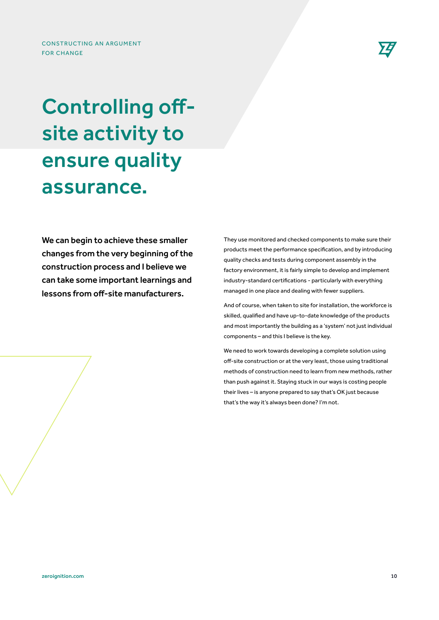## Controlling offsite activity to ensure quality assurance.

We can begin to achieve these smaller changes from the very beginning of the construction process and I believe we can take some important learnings and lessons from off-site manufacturers.

They use monitored and checked components to make sure their products meet the performance specification, and by introducing quality checks and tests during component assembly in the factory environment, it is fairly simple to develop and implement industry-standard certifications - particularly with everything managed in one place and dealing with fewer suppliers.

And of course, when taken to site for installation, the workforce is skilled, qualified and have up-to-date knowledge of the products and most importantly the building as a 'system' not just individual components – and this I believe is the key.

We need to work towards developing a complete solution using off-site construction or at the very least, those using traditional methods of construction need to learn from new methods, rather than push against it. Staying stuck in our ways is costing people their lives – is anyone prepared to say that's OK just because that's the way it's always been done? I'm not.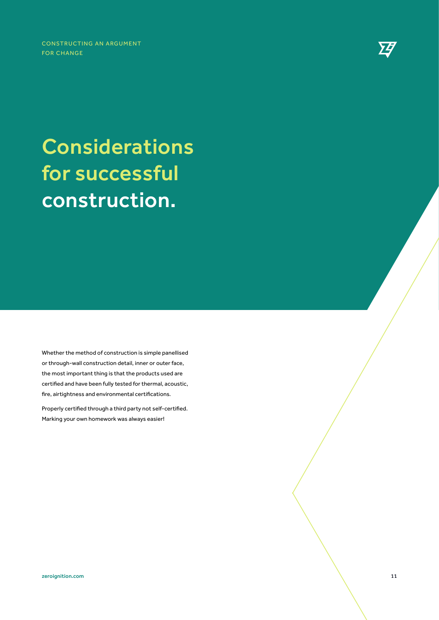CONSTRUCTING AN ARGUMENT FOR CHANGE



# **Considerations** for successful construction.

Whether the method of construction is simple panellised or through-wall construction detail, inner or outer face, the most important thing is that the products used are certified and have been fully tested for thermal, acoustic, fire, airtightness and environmental certifications.

Properly certified through a third party not self-certified. Marking your own homework was always easier!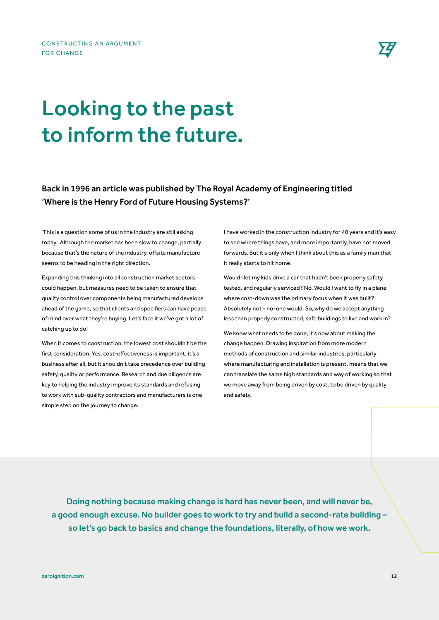

### Looking to the past to inform the future.

### Back in 1996 an article was published by The Royal Academy of Engineering titled 'Where is the Henry Ford of Future Housing Systems?'

 This is a question some of us in the industry are still asking today. Although the market has been slow to change, partially because that's the nature of the industry, offsite manufacture seems to be heading in the right direction.

Expanding this thinking into all construction market sectors could happen, but measures need to be taken to ensure that quality control over components being manufactured develops ahead of the game, so that clients and specifiers can have peace of mind over what they're buying. Let's face it we've got a lot of catching up to do!

When it comes to construction, the lowest cost shouldn't be the first consideration. Yes, cost-effectiveness is important, it's a business after all, but it shouldn't take precedence over building safety, quality or performance. Research and due diligence are key to helping the industry improve its standards and refusing to work with sub-quality contractors and manufacturers is one simple step on the journey to change.

I have worked in the construction industry for 40 years and it's easy to see where things have, and more importantly, have not moved forwards. But it's only when I think about this as a family man that it really starts to hit home.

Would I let my kids drive a car that hadn't been properly safety tested, and regularly serviced? No. Would I want to fly in a plane where cost-down was the primary focus when it was built? Absolutely not - no-one would. So, why do we accept anything less than properly constructed, safe buildings to live and work in?

We know what needs to be done, it's now about making the change happen. Drawing inspiration from more modern methods of construction and similar industries, particularly where manufacturing and installation is present, means that we can translate the same high standards and way of working so that we move away from being driven by cost, to be driven by quality and safety.

Doing nothing because making change is hard has never been, and will never be, a good enough excuse. No builder goes to work to try and build a second-rate building – so let's go back to basics and change the foundations, literally, of how we work.